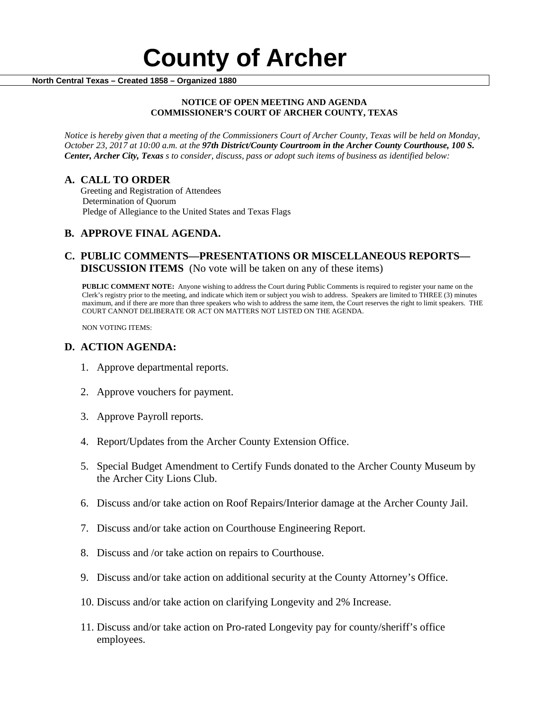#### **NOTICE OF OPEN MEETING AND AGENDA COMMISSIONER'S COURT OF ARCHER COUNTY, TEXAS**

*Notice is hereby given that a meeting of the Commissioners Court of Archer County, Texas will be held on Monday, October 23, 2017 at 10:00 a.m. at the 97th District/County Courtroom in the Archer County Courthouse, 100 S. Center, Archer City, Texas s to consider, discuss, pass or adopt such items of business as identified below:*

**A. CALL TO ORDER** Greeting and Registration of Attendees Determination of Quorum Pledge of Allegiance to the United States and Texas Flags

# **B. APPROVE FINAL AGENDA.**

# **C. PUBLIC COMMENTS—PRESENTATIONS OR MISCELLANEOUS REPORTS— DISCUSSION ITEMS** (No vote will be taken on any of these items)

**PUBLIC COMMENT NOTE:** Anyone wishing to address the Court during Public Comments is required to register your name on the Clerk's registry prior to the meeting, and indicate which item or subject you wish to address. Speakers are limited to THREE (3) minutes maximum, and if there are more than three speakers who wish to address the same item, the Court reserves the right to limit speakers. THE COURT CANNOT DELIBERATE OR ACT ON MATTERS NOT LISTED ON THE AGENDA.

NON VOTING ITEMS:

## **D. ACTION AGENDA:**

- 1. Approve departmental reports.
- 2. Approve vouchers for payment.
- 3. Approve Payroll reports.
- 4. Report/Updates from the Archer County Extension Office.
- 5. Special Budget Amendment to Certify Funds donated to the Archer County Museum by the Archer City Lions Club.
- 6. Discuss and/or take action on Roof Repairs/Interior damage at the Archer County Jail.
- 7. Discuss and/or take action on Courthouse Engineering Report.
- 8. Discuss and /or take action on repairs to Courthouse.
- 9. Discuss and/or take action on additional security at the County Attorney's Office.
- 10. Discuss and/or take action on clarifying Longevity and 2% Increase.
- 11. Discuss and/or take action on Pro-rated Longevity pay for county/sheriff's office employees.